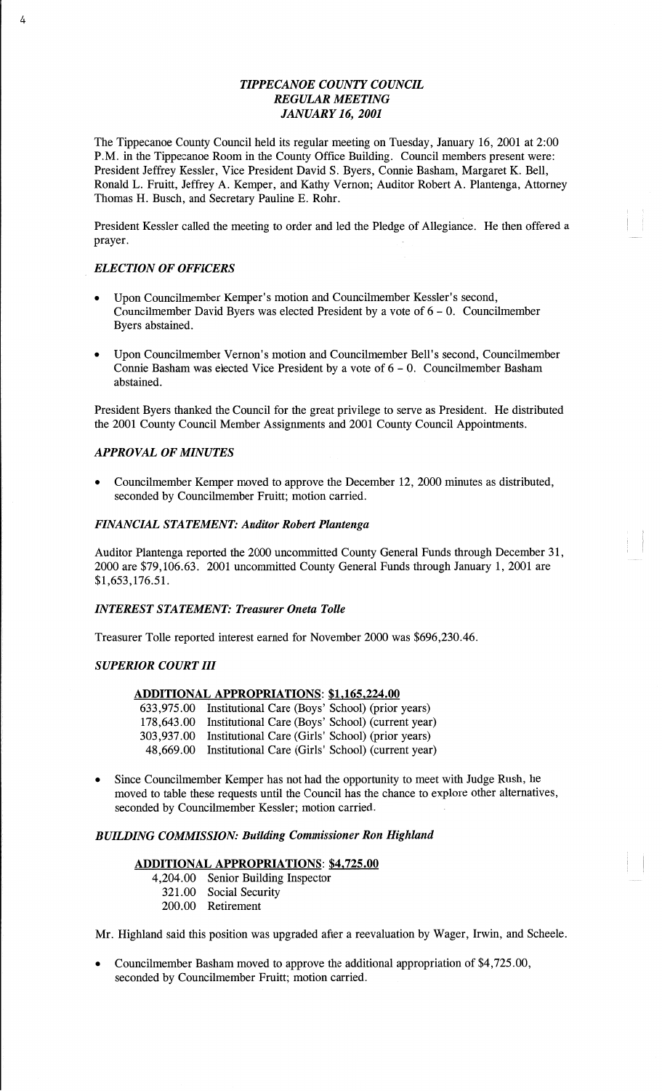# *TIPPECANOE COUNTY COUNCIL REGULAR MEETING JANUARY* 16, *2001*

The Tippecanoe County Council held its regular meeting on Tuesday, January 16, 2001 at 2:00 P.M. in the Tippecanoe **Room** in the County Office Building. Council members present were: President Jeffrey Kessler, Vice President David S. Byers, **Connie** Basham, Margaret K. Bell, Ronald L. Fruitt, Jeffrey A. Kemper, and Kathy Vernon; Auditor Robert A. **Plantenga,** Attorney **Thomas** H. **Busch,** and Secretary Pauline E. Rohr.

**President** Kessler called the meeting to order and led the Pledge of Allegianée. He **then** offered **a**  prayer. The contract of the contract of the contract of the contract of the contract of the contract of the contract of the contract of the contract of the contract of the contract of the contract of the contract of the co

# **'** *ELECTION* OF *OFFICERS*

 $\lambda$ 

- Upon Councilmember Kemper's motion and Councilmember Kessler's second, Councilmember **David** Byers was elected President by **a** vote of 6 *—* 0. Councilmember Byers abstained.
- **0** Upon Councilmember Vernon's motion and Councilmember Bell's second, Councilmember Connie Basham was elected Vice President by a vote of  $6 - 0$ . Councilmember Basham abstained. *'* **'**

President Byers thanked the Council for the great privilege to serve as President. He distributed the 2001 County Council Member Assignments and 2001 County Council Appointments.

# *APPROVAL* OF *MINUTES*

**<sup>0</sup>**Councilmember Kemper moved to **approve** the December 12, 2000 minutes as distributed, seconded by Councilmember Fruitt; motion carried.

## *FINANCIAL STATEMENT: Auditor Robert Plantenga*

Auditor Plantenga reported the 2000 uncommitted County General **Funds** through December 31, 2000 are \$79,106.63. 2001 uncommitted County General **Funds** through January 1, 2001 are \$1,653,176.51.

## *INTEREST STATEMENT: Treasurer Oneta Tolle*

Treasurer Tolle reported interest earned for November 2000 was \$696,230.46.

## *SUPERIOR COURT* III

#### **ADDITIONAL APPROPRIATIONS: \$1,165,224.00**

| 633,975.00 Institutional Care (Boys' School) (prior years)  |
|-------------------------------------------------------------|
| 178,643.00 Institutional Care (Boys' School) (current year) |
| 303,937.00 Institutional Care (Girls' School) (prior years) |
| 48,669.00 Institutional Care (Girls' School) (current year) |

Since Councilmember Kemper has not had the opportunity to meet with Judge Rush, he moved to table these requests until the Council has the chance to explore other alternatives, seconded by Councilmember Kessler; motion carried.

## *BUILDING COMMISSION: Building Commissioner* Ron *Highland*

## **ADDITIONAL APPROPRIATIONS: \$4,725.00**

- 4,204.00 Senior Building Inspector
	- 321.00 Social Security
	- 200.00 Retirement

Mr. Highland said this position was upgraded after **a** reevaluation by Wager, Irwin, and Scheele.

**o** Councilmember Basham moved to approve the additional appropriation of \$4,725.00, seconded by Councilmember Fruitt; motion carried.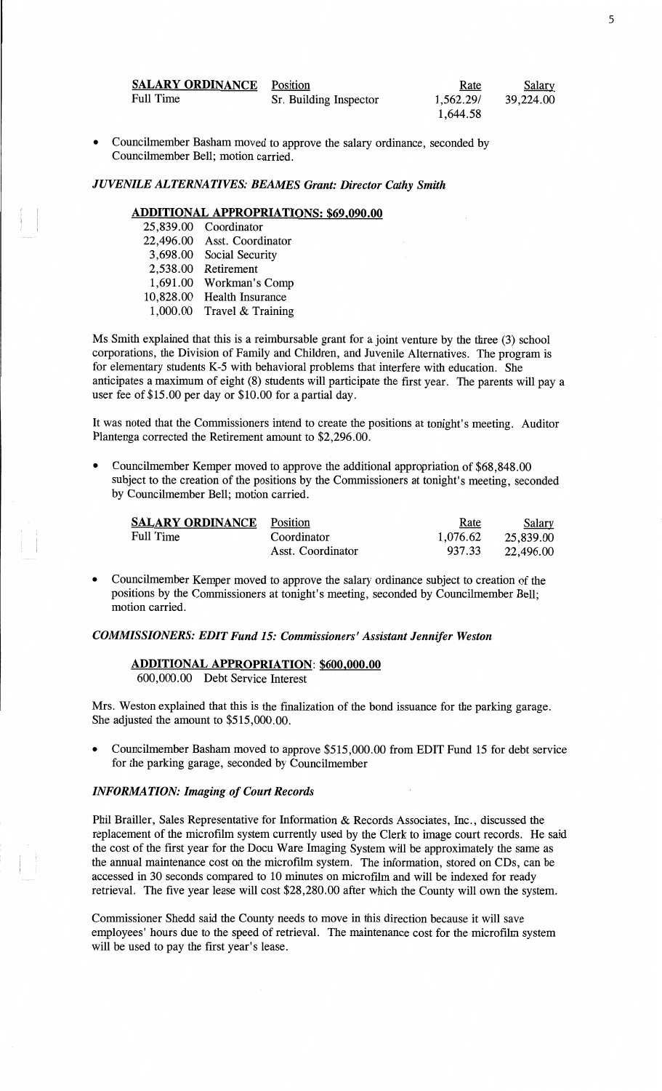| <b>SALARY ORDINANCE</b> Position |                        | Rate      | <b>Salary</b> |
|----------------------------------|------------------------|-----------|---------------|
| Full Time                        | Sr. Building Inspector | 1.562.29/ | 39,224.00     |
|                                  |                        | 1,644.58  |               |

**-** Councilmember **Basham moved** to approve the salary **ordinance,** seconded by **Councilmember Bell; motion** carried.

# *JUVENILE ALTERNATIVES: BEAMES Grant: Director Cathy Smith*

# **ADDITIONAL APPROPRIATIONS: \$69,090.00**

| 25,839.00 | Coordinator             |
|-----------|-------------------------|
| 22,496.00 | Asst. Coordinator       |
| 3,698.00  | Social Security         |
| 2,538.00  | Retirement              |
| 1,691.00  | Workman's Comp          |
| 10,828.00 | <b>Health Insurance</b> |
| 1,000.00  | Travel & Training       |

Ms **Smith** explained that **this** is **a** reimbursable grant for a **joint** venture by the three (3) school corporations, the Division of Family and Children, and Juvenile Alternatives. The program is for elementary **students** K—5 with behavioral problems that interfere with education. She anticipates a **maximum** of eight (8) students will participate the first year. The parents will pay a user fee of \$15.00 per day or \$10.00 for a partial day.

It was noted that the Commissioners intend to create the positions at **tonight's** meeting. Auditor Plantenga corrected the Retirement **amount** to \$2,296.00.

*-* Councilmember Kemper moved to approve the additional **appropriation** of \$68,848.00 **subject** to the creation of the positions by the **Commissioners** at tonight's meeting, seconded by Councilmember Bell; **motion** carried.

| <b>SALARY ORDINANCE</b> Position |                   | <u>Rate</u> | <b>Salary</b> |
|----------------------------------|-------------------|-------------|---------------|
| <b>Full Time</b>                 | Coordinator       | 1.076.62    | 25,839.00     |
|                                  | Asst. Coordinator | 937.33      | 22,496.00     |

**- Councilmember** Kemper moved to approve the salary ordinance **subject** to creation of the **positions** by the **Commissioners** at tonight's **meeting,** seconded by Councilmember Bell; **motion** carried.

#### **<sup>I</sup>***COMMISSIONERS: EDIT Fund* 15: *Commissioners' Assistant Jennifer Weston*

## **ADDITIONAL APPROPRIATION: \$600,000.00**

600,000.00 Debt Service Interest

Mrs. **Weston explained that this** is the **finalization** of the **bond** issuance for the parking **garage.**  She adjusted the **amount** to \$515,000.00.

**<sup>0</sup>**Councilmember **Basham** moved to approve \$515,000.00 from EDIT Fund 15 for debt service for the parking garage, seconded by Councilmember

## *INFORMATION: Imaging* of *Court Records*

**Phil** Brailler, **Sales** Representative for **Information** & Records Associates, Inc., discussed the replacement of the microfilm system currently **used** by the Clerk to image court records. He said the cost of the first year for the Docu Ware Imaging System will be approximately the same as the **annual** maintenance cost on the microfilm system. The information, stored on CDs, can be accessed in 30 seconds compared to 10 **minutes** on microfilm and will be **indexed** for ready retrieval. The five year lease will cost \$28,280.00 after which the County will own the system.

Commissioner Shedd said the County **needs** to move in **this direction** because it will save employees' **hours** due to the speed of retrieval. The **maintenance** cost for the microfilm system will be used to pay the first **year's** lease.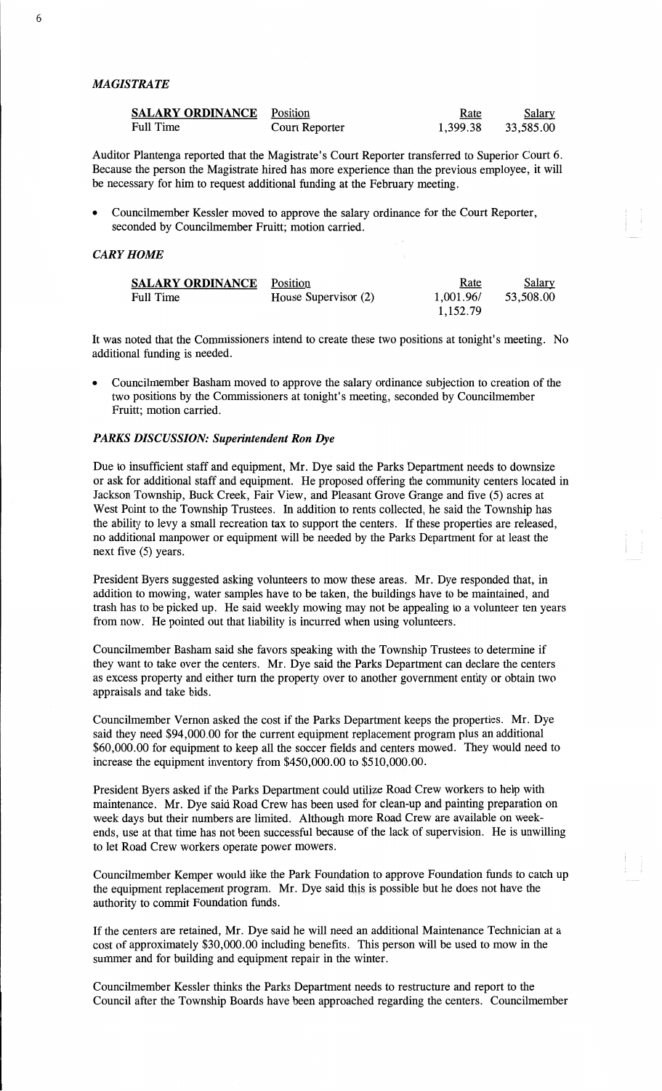#### *MAGISTRATE*

| <b>SALARY ORDINANCE</b> Position |                | <u>Rate</u> | <b>Salary</b> |
|----------------------------------|----------------|-------------|---------------|
| Full Time                        | Court Reporter | 1.399.38    | 33,585.00     |

Auditor Plantenga reported **that** the Magistrate's Court Reporter transferred to Superior Court 6. Because the person the Magistrate hired has more experience than the previous employee, it will be necessary for him to request additional funding at the February meeting.

**0** Councilmember Kessler moved to approve the salary ordinance for the Court Reporter, seconded by Councilmember Fruitt; motion carried.

#### *CARY HOME*

| <b>SALARY ORDINANCE</b> Position |                      | <u>Rate</u> | <u>Salary</u> |
|----------------------------------|----------------------|-------------|---------------|
| Full Time                        | House Supervisor (2) | 1,001.96/   | 53.508.00     |
|                                  |                      | 1,152.79    |               |

It was noted that the Commissioners intend to create these two positions at tonight's meeting. No additional funding is needed.

**<sup>0</sup>**Councilmember **Basham** moved to approve the salary ordinance subjection to creation of the two positions by the Commissioners at tonight' s meeting, seconded by Councilmember Fruitt; motion carried.

## *PARKS DISCUSSION: Superintendent* Ron Dye

Due to **insufficient** staff and equipment, Mr. Dye **said** the Parks Department needs to downsize or ask for additional staff and equipment. He proposed offering the community centers located in Jackson Township, **Buck** Creek, Fair View, and Pleasant Grove Grange and five (5) acres at West Point to the **Township** Trustees. In addition to rents collected, he said the Township has the ability to levy a small recreation tax to support the centers. If **these** properties are released, no additional **manpower** or equipment will be needed by the Parks Department for at least the next five (5) years.

President Byers suggested asking volunteers to mow **these** areas. Mr. Dye responded that, in addition to mowing, water samples **have** to be **taken,** the buildings **have** to be maintained, and trash has to be picked up. He said weekly mowing may not be appealing to **a** volunteer ten years **from** now. He pointed out that liability is incurred when using volunteers.

Councilmember Basham said she favors speaking with the Township Trustees to determine if they want to take over the centers. Mr. Dye said the Parks Department can declare the centers as excess property and either turn the property over to another government entity or obtain two appraisals and take bids.

Councilmember Vernon asked the cost if the Parks Department keeps the properties. Mr. Dye said they need \$94,000.00 for the current equipment replacement program plus an additional \$60,000.00 for equipment to keep all the soccer fields and centers mowed. They would need to increase the equipment inventory from \$450,000.00 to \$510,000.00.

President Byers asked if the Parks Department could utilize Road Crew workers to help with maintenance. Mr. Dye said Road Crew has been used for clean-up and painting preparation on week days but their numbers are limited. Although more Road Crew are available on weekends, use at that time has not been successful because of the lack of supervision. He is unwilling to let Road Crew workers operate power mowers.

Councilmember Kemper would like the Park **Foundation** to approve **Foundation flmds** to catch up the equipment replacement program. Mr. Dye said this is possible but he does not have the authority to commit Foundation funds.

If the centers are retained, Mr. Dye said he will need an **additional** Maintenance Technician at **a**  cost of approximately \$30,000.00 including benefits. This person will be used to mow in the summer and for building and equipment repair in the winter.

**Councilmember** Kessler **thinks** the Parks Department needs to restructure and report to the Council after the Township Boards have been approached regarding the centers. Councilmember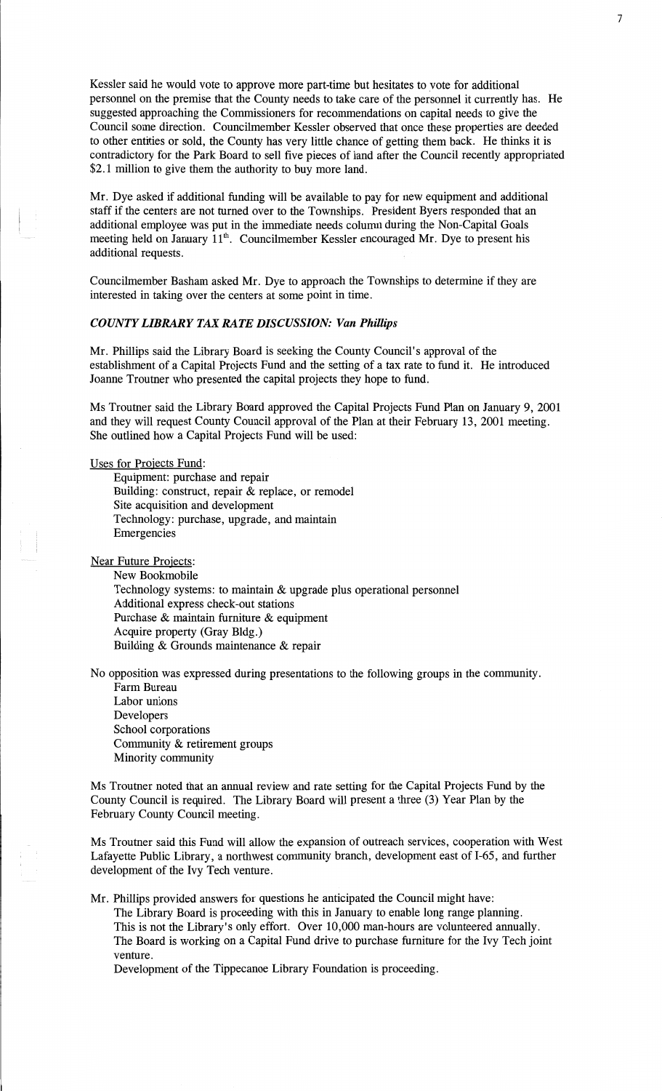Kessler said he would **vote** to **approve** more part-time but **hesitates** to \_vote for additional personnel on the premise that the County **needs** to take care of the personnel it currently has. He suggested approaching the Commissioners for recommendations on capital needs to give the Council some direction. Councilmember Kessler observed that once these properties are deeded to other entities or sold, the County has very little chance of getting them back. He thinks it is contradictory for the **Park** Board to sell five pieces of land after the Council recently appropriated \$2.1 million to give **them** the authority to buy more land.

Mr. Dye asked if **additional** funding will be available to pay for new equipment and **additional**  staff if the centers are not turned over to the Townships. **President** Byers responded that an additional employee was put in the **immediate** needs column during the Non-Capital Goals meeting held on January **11\*. Councilmember** Kessler encouraged Mr. Dye to **present** his additional requests.

Councilmember Basham asked Mr. Dye to approach the **Townships** to determine if they are interested in taking over the **centers** at some point in **time.** 

#### *COUNTY LIBRARY* TAX *RATE DISCUSSION:* Van *Phillips*

Mr. Phillips said the Library Board is seeking the County Council's approval of the establishment of a Capital Projects Fund and the setting of **a** tax rate to fund it. He introduced Joanne Troutner who presented the **capital** projects **they hope** to **fund.** 

Ms Troutner said the Library Board approved the Capital Projects Fund Plan on January 9, 2001 and they will request County Council approval of the Plan at their February 13, 2001 **meeting.**  She outlined how a **Capital** Projects Fund will be used:

Uses for Projects Fund:

Equipment: purchase and repair Building: construct, repair & **replace,** or **remodel**  Site acquisition and development Technology: purchase, upgrade, and maintain Emergencies

Near Future Projects:

New Bookmobile Technology systems: to maintain & upgrade **plus** operational **personne<sup>l</sup>** Additional express check-out **stations**  Purchase & maintain furniture & equipment Acquire property (Gray Bldg.) Building & Grounds maintenance & repair

No opposition was **expressed** during presentations to the **following** groups in the community.

**Farm** Bureau Labor unions Developers School corporations Community & retirement groups Minority community

Ms Troutner noted that an **annual** review and rate setting for the Capital Projects **Fund** by the County Council is required. The Library Board will **present** a **three** (3) Year **Plan** by the February County Council **meeting.** 

Ms Troutner said this Fund will allow the expansion of outreach services, cooperation with West Lafayette Public Library, a northwest community branch, development **east** of I-65, and further development of the Ivy **Tech venture.** 

Mr. **Phillips** provided answers for questions he anticipated the Council might have: The Library Board is proceeding with this in January to enable long range planning. **This** is not the Library's only effort. Over 10,000 **man—hours** are volunteered annually. The Board is working on a Capital Fund drive to purchase fumiture for the Ivy Tech **joint**  venture.

Development of the Tippecanoe Library Foundation is proceeding.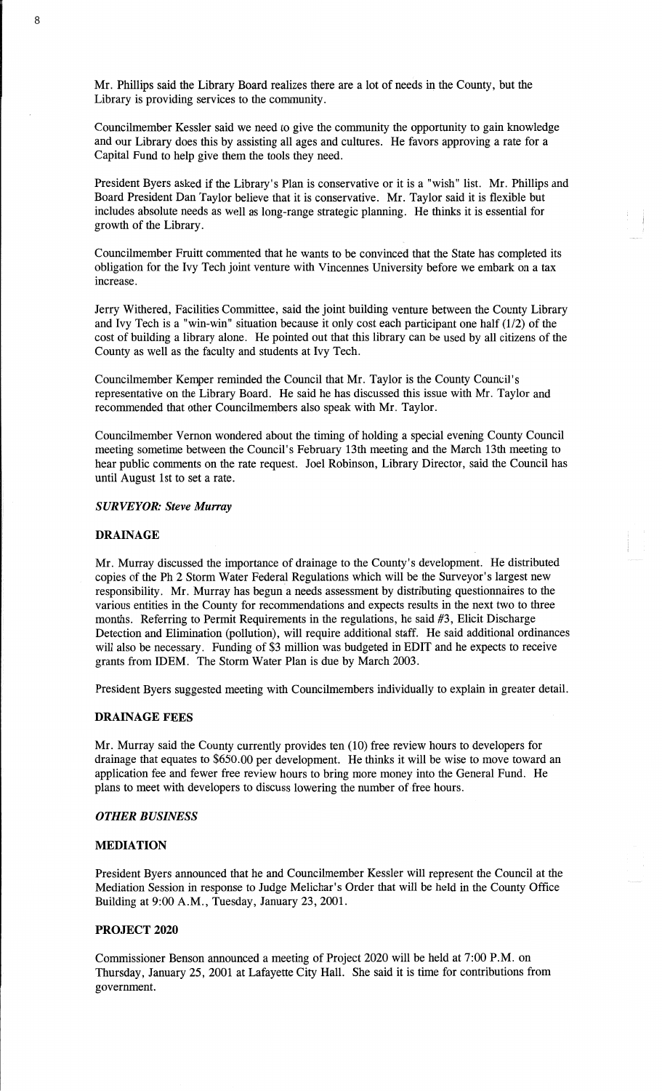Mr. **Phillips** said the Library Board realizes there are a lot of needs in the County, but the Library is providing services to the community.

Councilmember Kessler said we need to give the community the opportunity to gain knowledge and our Library does this by assisting all ages and cultures. He favors approving a rate for a Capital Fund to help give **them** the tools they need.

President Byers asked if the Library's Plan is conservative or it is a "wish" list. Mr. Phillips and Board President Dan Taylor believe that it is conservative. Mr. Taylor said it is flexible but includes absolute **needs** as well as long-range strategic planning. He thinks it is essential for growth of the Library.

Councilmember Fruitt commented **that** he wants to be convinced **that** the State has completed its obligation for the Ivy Tech **joint** venture with **Vincennes** University before we embark on a tax increase.

Jerry Withered, Facilities Committee, said the joint building venture between the County Library and Ivy Tech is a "win-win" situation because it only cost each participant one half (1/2) of the cost of building a library alone. He pointed out that this library can be used by all citizens of the County as well as the faculty and **students** at Ivy Tech.

Councilmember Kemper reminded the Council that Mr. Taylor is the County Council's representative on the Library Board. He said he has discussed **this** issue with Mr. Taylor and recommended that other Councilmembers **also** speak with Mr. Taylor.

Councilmember Vernon wondered about the timing of holding a special evening County Council meeting sometime between the Council's February 13th meeting and the March 13th meeting to hear public comments on the rate request. Joel Robinson, Library Director, said the Council has until August 1st to set a rate.

## *S URVEYOR: Steve Murray*

## **DRAINAGE**

Mr. Murray discussed the importance of drainage to the County's development. He distributed copies of the Ph **2 Storm** Water Federal Regulations which will be the Surveyor's largest new responsibility. Mr. Murray has begun a needs assessment by distributing questionnaires to the various entities in the County for recommendations and expects results in the **next** two to three months. Referring to Permit Requirements in the regulations, he said #3, **Elicit** Discharge Detection and **Elimination** (pollution), will require additional staff. He said additional ordinances will **also** be necessary. Funding of \$3 million was budgeted in **EDIT** and he expects to receive grants from IDEM. The Storm Water Plan is due by March 2003.

President Byers suggested meeting with Councilmembers individually to **explain** in greater detail.

#### **DRAINAGE FEES**

Mr. Murray said the County currently provides ten (10) free review hours to developers for drainage that equates to \$650.00 per development. He thinks it will be wise to move toward an application fee and fewer free review hours to bring more money into the General Fund. He plans to meet with developers to discuss lowering the number of free hours.

#### *OTHER BUSINESS*

#### **MEDIATION**

President Byers announced that he and Councilmember Kessler will represent the Council at the Mediation **Session** in response to Judge Melichar's Order that will be held in the County **Office**  Building at 9:00 A.M., Tuesday, January 23, 2001.

#### **PROJECT 2020**

Commissioner **Benson** announced **a** meeting of Project 2020 will be held at 7:00 P.M. on Thursday, January 25, 2001 at Lafayette City Hall. She said it is time for contributions from government.